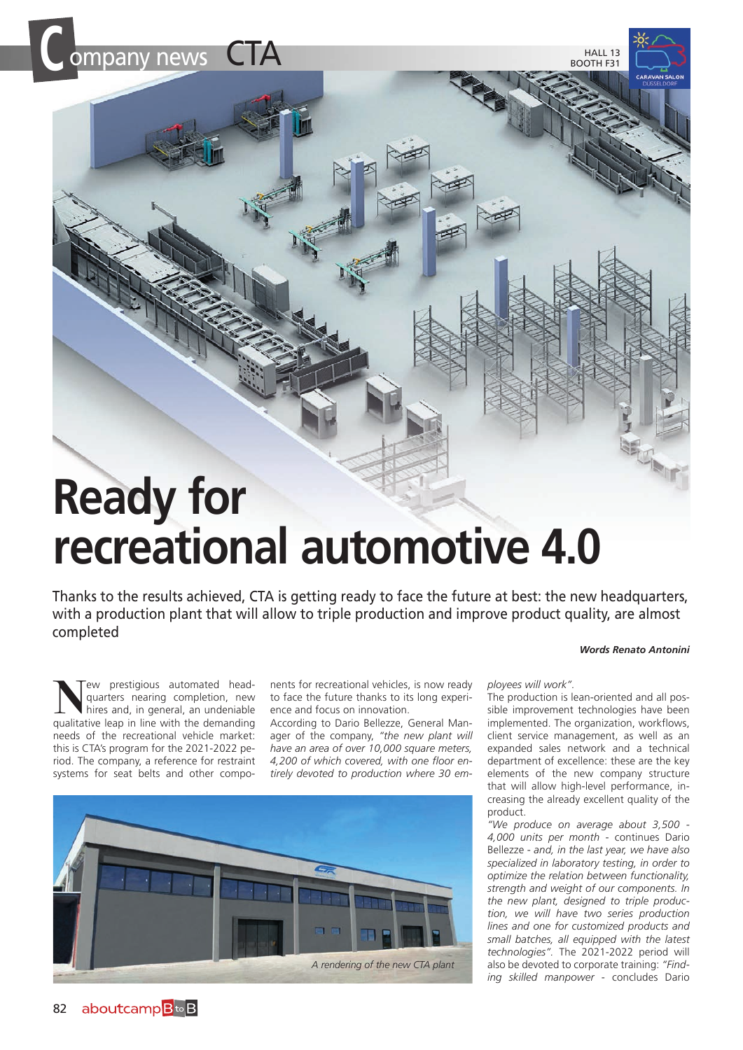

## **Ready for recreational automotive 4.0**

Thanks to the results achieved, CTA is getting ready to face the future at best: the new headquarters, with a production plant that will allow to triple production and improve product quality, are almost completed

## *Words Renato Antonini*

Tew prestigious automated headquarters nearing completion, new hires and, in general, an undeniable qualitative leap in line with the demanding needs of the recreational vehicle market: this is CTA's program for the 2021-2022 period. The company, a reference for restraint systems for seat belts and other compo-

nents for recreational vehicles, is now ready to face the future thanks to its long experience and focus on innovation.

According to Dario Bellezze, General Manager of the company, *"the new plant will have an area of over 10,000 square meters, 4,200 of which covered, with one floor entirely devoted to production where 30 em-*



*ployees will work".*

The production is lean-oriented and all possible improvement technologies have been implemented. The organization, workflows, client service management, as well as an expanded sales network and a technical department of excellence: these are the key elements of the new company structure that will allow high-level performance, increasing the already excellent quality of the product.

*"We produce on average about 3,500 - 4,000 units per month* - continues Dario Bellezze - *and, in the last year, we have also specialized in laboratory testing, in order to optimize the relation between functionality, strength and weight of our components. In the new plant, designed to triple production, we will have two series production lines and one for customized products and small batches, all equipped with the latest technologies".* The 2021-2022 period will also be devoted to corporate training: *"Finding skilled manpower* - concludes Dario